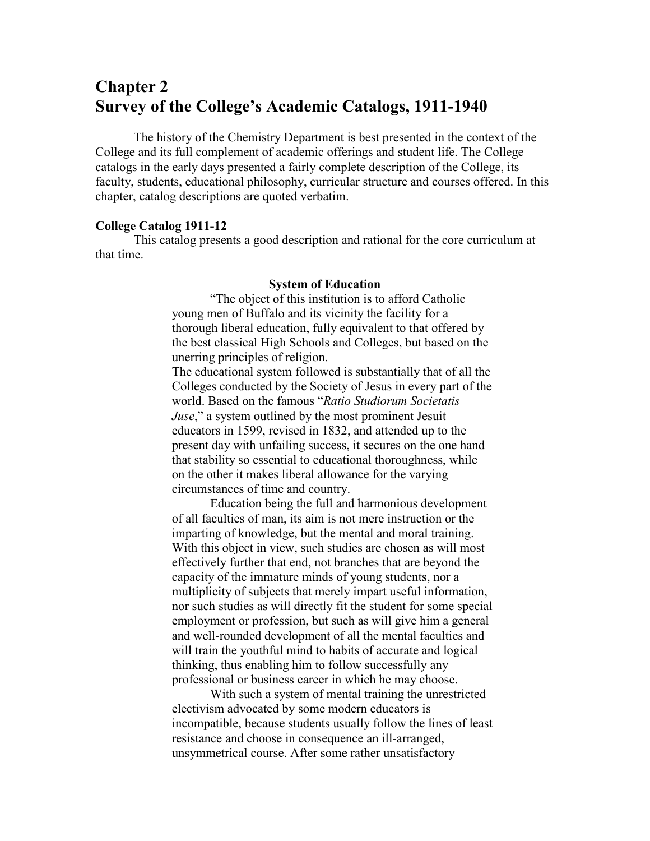# **Chapter 2 Survey of the College's Academic Catalogs, 1911-1940**

The history of the Chemistry Department is best presented in the context of the College and its full complement of academic offerings and student life. The College catalogs in the early days presented a fairly complete description of the College, its faculty, students, educational philosophy, curricular structure and courses offered. In this chapter, catalog descriptions are quoted verbatim.

# **College Catalog 1911-12**

This catalog presents a good description and rational for the core curriculum at that time.

#### **System of Education**

"The object of this institution is to afford Catholic young men of Buffalo and its vicinity the facility for a thorough liberal education, fully equivalent to that offered by the best classical High Schools and Colleges, but based on the unerring principles of religion.

The educational system followed is substantially that of all the Colleges conducted by the Society of Jesus in every part of the world. Based on the famous "*Ratio Studiorum Societatis Juse*," a system outlined by the most prominent Jesuit educators in 1599, revised in 1832, and attended up to the present day with unfailing success, it secures on the one hand that stability so essential to educational thoroughness, while on the other it makes liberal allowance for the varying circumstances of time and country.

Education being the full and harmonious development of all faculties of man, its aim is not mere instruction or the imparting of knowledge, but the mental and moral training. With this object in view, such studies are chosen as will most effectively further that end, not branches that are beyond the capacity of the immature minds of young students, nor a multiplicity of subjects that merely impart useful information, nor such studies as will directly fit the student for some special employment or profession, but such as will give him a general and well-rounded development of all the mental faculties and will train the youthful mind to habits of accurate and logical thinking, thus enabling him to follow successfully any professional or business career in which he may choose.

With such a system of mental training the unrestricted electivism advocated by some modern educators is incompatible, because students usually follow the lines of least resistance and choose in consequence an ill-arranged, unsymmetrical course. After some rather unsatisfactory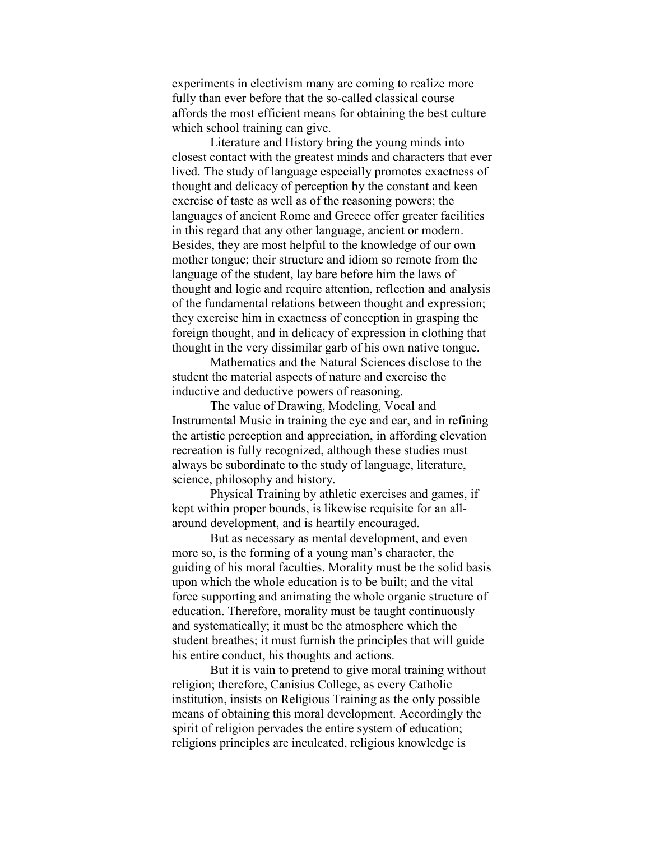experiments in electivism many are coming to realize more fully than ever before that the so-called classical course affords the most efficient means for obtaining the best culture which school training can give.

Literature and History bring the young minds into closest contact with the greatest minds and characters that ever lived. The study of language especially promotes exactness of thought and delicacy of perception by the constant and keen exercise of taste as well as of the reasoning powers; the languages of ancient Rome and Greece offer greater facilities in this regard that any other language, ancient or modern. Besides, they are most helpful to the knowledge of our own mother tongue; their structure and idiom so remote from the language of the student, lay bare before him the laws of thought and logic and require attention, reflection and analysis of the fundamental relations between thought and expression; they exercise him in exactness of conception in grasping the foreign thought, and in delicacy of expression in clothing that thought in the very dissimilar garb of his own native tongue.

Mathematics and the Natural Sciences disclose to the student the material aspects of nature and exercise the inductive and deductive powers of reasoning.

The value of Drawing, Modeling, Vocal and Instrumental Music in training the eye and ear, and in refining the artistic perception and appreciation, in affording elevation recreation is fully recognized, although these studies must always be subordinate to the study of language, literature, science, philosophy and history.

Physical Training by athletic exercises and games, if kept within proper bounds, is likewise requisite for an allaround development, and is heartily encouraged.

But as necessary as mental development, and even more so, is the forming of a young man's character, the guiding of his moral faculties. Morality must be the solid basis upon which the whole education is to be built; and the vital force supporting and animating the whole organic structure of education. Therefore, morality must be taught continuously and systematically; it must be the atmosphere which the student breathes; it must furnish the principles that will guide his entire conduct, his thoughts and actions.

But it is vain to pretend to give moral training without religion; therefore, Canisius College, as every Catholic institution, insists on Religious Training as the only possible means of obtaining this moral development. Accordingly the spirit of religion pervades the entire system of education; religions principles are inculcated, religious knowledge is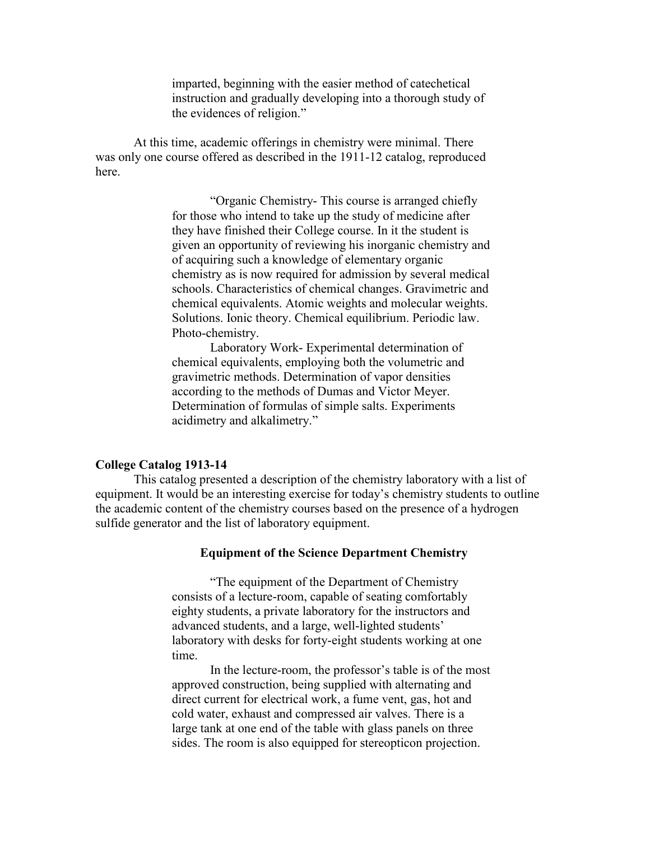imparted, beginning with the easier method of catechetical instruction and gradually developing into a thorough study of the evidences of religion."

At this time, academic offerings in chemistry were minimal. There was only one course offered as described in the 1911-12 catalog, reproduced here.

> "Organic Chemistry- This course is arranged chiefly for those who intend to take up the study of medicine after they have finished their College course. In it the student is given an opportunity of reviewing his inorganic chemistry and of acquiring such a knowledge of elementary organic chemistry as is now required for admission by several medical schools. Characteristics of chemical changes. Gravimetric and chemical equivalents. Atomic weights and molecular weights. Solutions. Ionic theory. Chemical equilibrium. Periodic law. Photo-chemistry.

Laboratory Work- Experimental determination of chemical equivalents, employing both the volumetric and gravimetric methods. Determination of vapor densities according to the methods of Dumas and Victor Meyer. Determination of formulas of simple salts. Experiments acidimetry and alkalimetry."

# **College Catalog 1913-14**

This catalog presented a description of the chemistry laboratory with a list of equipment. It would be an interesting exercise for today's chemistry students to outline the academic content of the chemistry courses based on the presence of a hydrogen sulfide generator and the list of laboratory equipment.

# **Equipment of the Science Department Chemistry**

"The equipment of the Department of Chemistry consists of a lecture-room, capable of seating comfortably eighty students, a private laboratory for the instructors and advanced students, and a large, well-lighted students' laboratory with desks for forty-eight students working at one time.

In the lecture-room, the professor's table is of the most approved construction, being supplied with alternating and direct current for electrical work, a fume vent, gas, hot and cold water, exhaust and compressed air valves. There is a large tank at one end of the table with glass panels on three sides. The room is also equipped for stereopticon projection.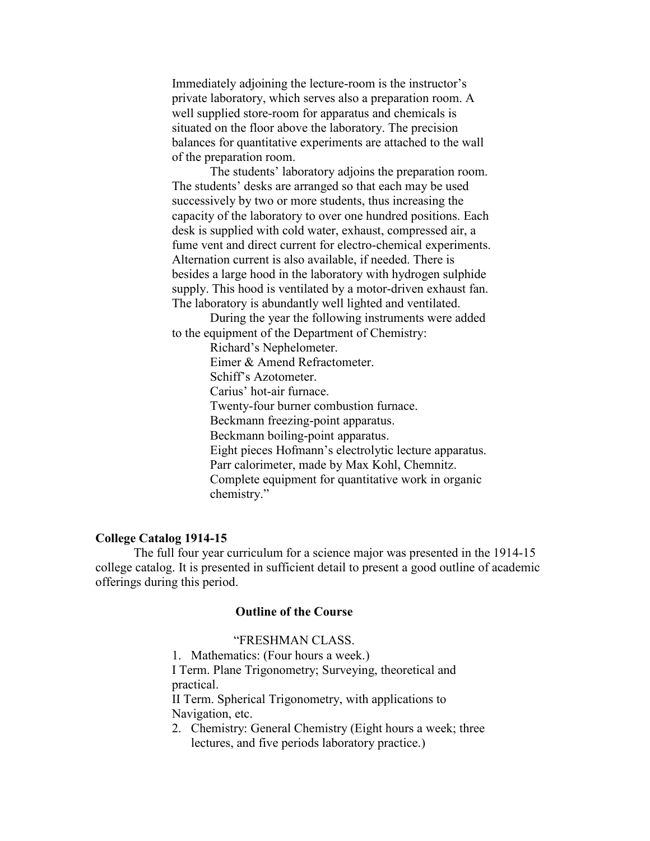Immediately adjoining the lecture-room is the instructor's private laboratory, which serves also a preparation room. A well supplied store-room for apparatus and chemicals is situated on the floor above the laboratory. The precision balances for quantitative experiments are attached to the wall of the preparation room.

The students' laboratory adjoins the preparation room. The students' desks are arranged so that each may be used successively by two or more students, thus increasing the capacity of the laboratory to over one hundred positions. Each desk is supplied with cold water, exhaust, compressed air, a fume vent and direct current for electro-chemical experiments. Alternation current is also available, if needed. There is besides a large hood in the laboratory with hydrogen sulphide supply. This hood is ventilated by a motor-driven exhaust fan. The laboratory is abundantly well lighted and ventilated.

During the year the following instruments were added to the equipment of the Department of Chemistry:

> Richard's Nephelometer. Eimer & Amend Refractometer. Schiff's Azotometer. Carius' hot-air furnace. Twenty-four burner combustion furnace. Beckmann freezing-point apparatus. Beckmann boiling-point apparatus. Eight pieces Hofmann's electrolytic lecture apparatus. Parr calorimeter, made by Max Kohl, Chemnitz. Complete equipment for quantitative work in organic chemistry."

# **College Catalog 1914-15**

The full four year curriculum for a science major was presented in the 1914-15 college catalog. It is presented in sufficient detail to present a good outline of academic offerings during this period.

# **Outline of the Course**

# "FRESHMAN CLASS.

1. Mathematics: (Four hours a week.)

I Term. Plane Trigonometry; Surveying, theoretical and practical.

II Term. Spherical Trigonometry, with applications to Navigation, etc.

2. Chemistry: General Chemistry (Eight hours a week; three lectures, and five periods laboratory practice.)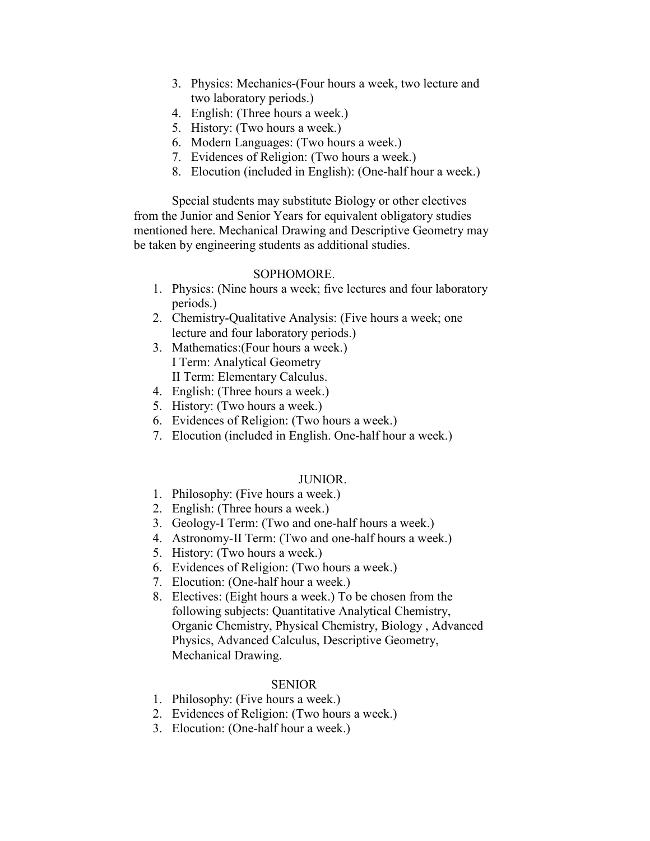- 3. Physics: Mechanics-(Four hours a week, two lecture and two laboratory periods.)
- 4. English: (Three hours a week.)
- 5. History: (Two hours a week.)
- 6. Modern Languages: (Two hours a week.)
- 7. Evidences of Religion: (Two hours a week.)
- 8. Elocution (included in English): (One-half hour a week.)

Special students may substitute Biology or other electives from the Junior and Senior Years for equivalent obligatory studies mentioned here. Mechanical Drawing and Descriptive Geometry may be taken by engineering students as additional studies.

# SOPHOMORE.

- 1. Physics: (Nine hours a week; five lectures and four laboratory periods.)
- 2. Chemistry-Qualitative Analysis: (Five hours a week; one lecture and four laboratory periods.)
- 3. Mathematics:(Four hours a week.) I Term: Analytical Geometry II Term: Elementary Calculus.
- 4. English: (Three hours a week.)
- 5. History: (Two hours a week.)
- 6. Evidences of Religion: (Two hours a week.)
- 7. Elocution (included in English. One-half hour a week.)

# JUNIOR.

- 1. Philosophy: (Five hours a week.)
- 2. English: (Three hours a week.)
- 3. Geology-I Term: (Two and one-half hours a week.)
- 4. Astronomy-II Term: (Two and one-half hours a week.)
- 5. History: (Two hours a week.)
- 6. Evidences of Religion: (Two hours a week.)
- 7. Elocution: (One-half hour a week.)
- 8. Electives: (Eight hours a week.) To be chosen from the following subjects: Quantitative Analytical Chemistry, Organic Chemistry, Physical Chemistry, Biology , Advanced Physics, Advanced Calculus, Descriptive Geometry, Mechanical Drawing.

# SENIOR

- 1. Philosophy: (Five hours a week.)
- 2. Evidences of Religion: (Two hours a week.)
- 3. Elocution: (One-half hour a week.)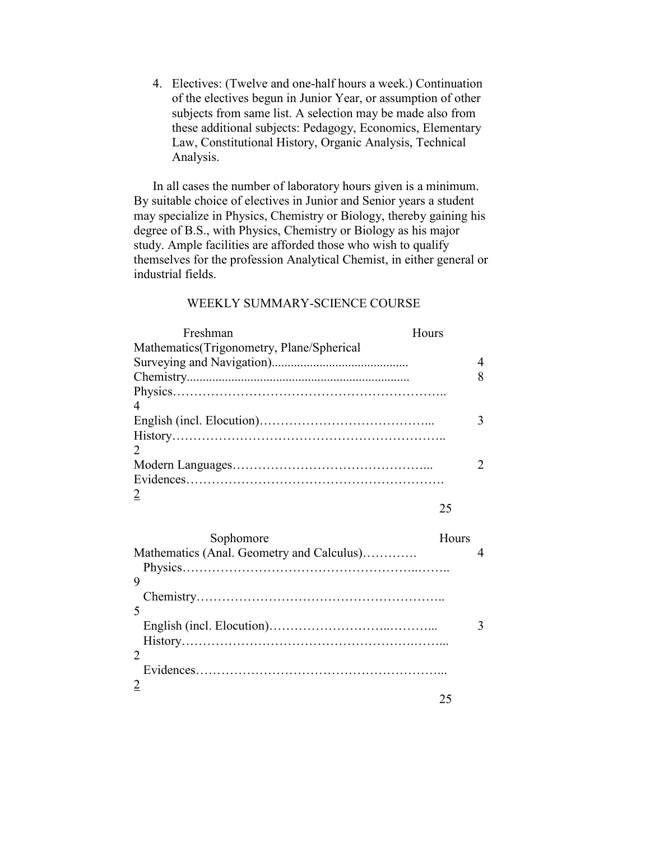4. Electives: (Twelve and one-half hours a week.) Continuation of the electives begun in Junior Year, or assumption of other subjects from same list. A selection may be made also from these additional subjects: Pedagogy, Economics, Elementary Law, Constitutional History, Organic Analysis, Technical Analysis.

In all cases the number of laboratory hours given is a minimum. By suitable choice of electives in Junior and Senior years a student may specialize in Physics, Chemistry or Biology, thereby gaining his degree of B.S., with Physics, Chemistry or Biology as his major study. Ample facilities are afforded those who wish to qualify themselves for the profession Analytical Chemist, in either general or industrial fields.

# WEEKLY SUMMARY-SCIENCE COURSE

| Freshman                                  | Hours |
|-------------------------------------------|-------|
| Mathematics(Trigonometry, Plane/Spherical |       |
|                                           | 4     |
|                                           | 8     |
|                                           |       |
|                                           |       |
|                                           |       |
|                                           |       |
|                                           |       |
|                                           |       |
|                                           |       |
|                                           |       |
|                                           | 25    |

| Sophomore                                 | Hours |  |
|-------------------------------------------|-------|--|
| Mathematics (Anal. Geometry and Calculus) |       |  |
|                                           |       |  |
| 9                                         |       |  |
|                                           |       |  |
|                                           |       |  |
|                                           |       |  |
|                                           |       |  |
|                                           |       |  |
|                                           |       |  |
|                                           |       |  |
|                                           |       |  |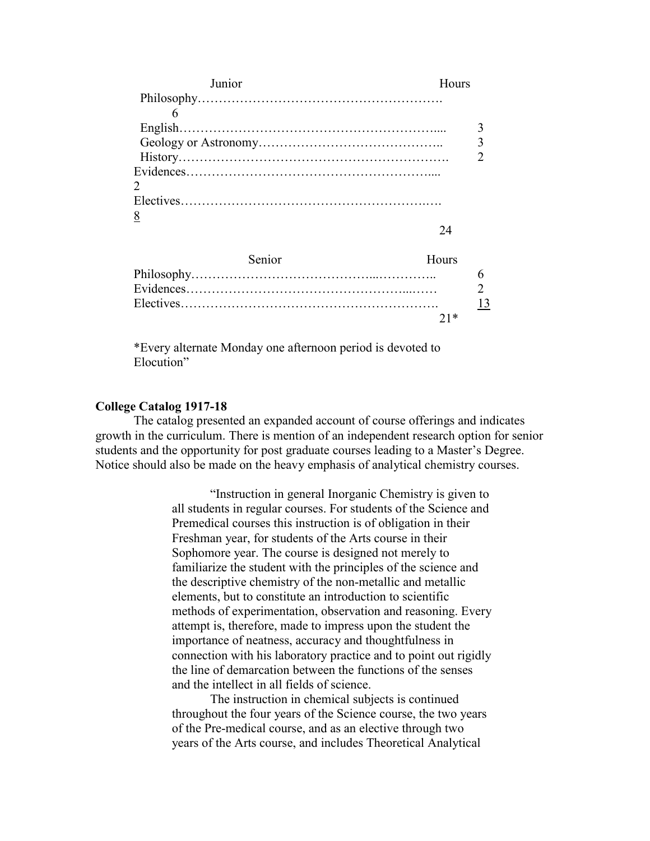| Junior   | Hours |   |
|----------|-------|---|
|          |       |   |
|          |       |   |
|          |       |   |
|          |       | 3 |
|          |       |   |
|          |       |   |
| 2        |       |   |
|          |       |   |
| <u>8</u> |       |   |
|          |       |   |
|          |       |   |

| <b>Senior</b> | Hours |
|---------------|-------|
|               |       |
|               |       |
|               | 13    |
|               | $21*$ |

\*Every alternate Monday one afternoon period is devoted to Elocution"

#### **College Catalog 1917-18**

The catalog presented an expanded account of course offerings and indicates growth in the curriculum. There is mention of an independent research option for senior students and the opportunity for post graduate courses leading to a Master's Degree. Notice should also be made on the heavy emphasis of analytical chemistry courses.

> "Instruction in general Inorganic Chemistry is given to all students in regular courses. For students of the Science and Premedical courses this instruction is of obligation in their Freshman year, for students of the Arts course in their Sophomore year. The course is designed not merely to familiarize the student with the principles of the science and the descriptive chemistry of the non-metallic and metallic elements, but to constitute an introduction to scientific methods of experimentation, observation and reasoning. Every attempt is, therefore, made to impress upon the student the importance of neatness, accuracy and thoughtfulness in connection with his laboratory practice and to point out rigidly the line of demarcation between the functions of the senses and the intellect in all fields of science.

The instruction in chemical subjects is continued throughout the four years of the Science course, the two years of the Pre-medical course, and as an elective through two years of the Arts course, and includes Theoretical Analytical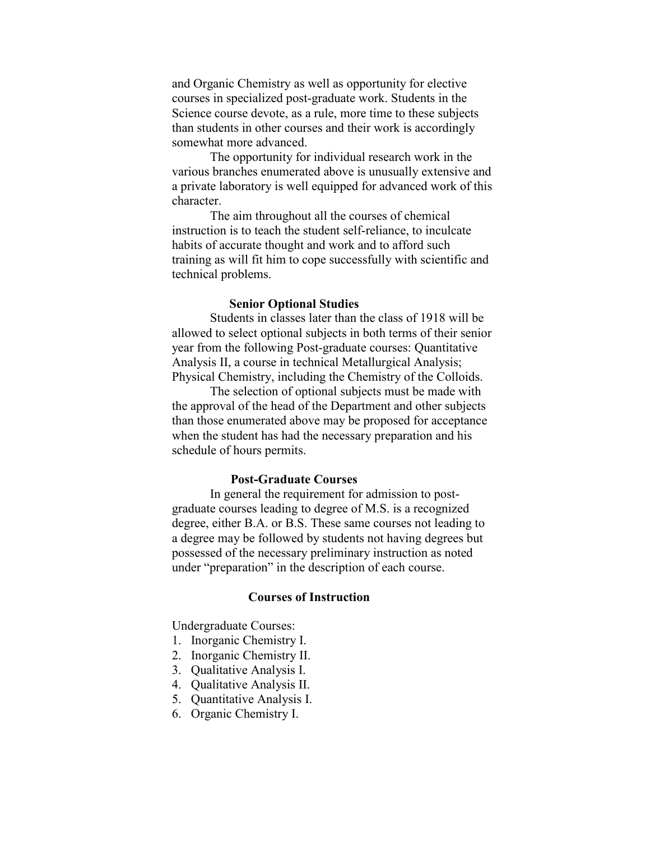and Organic Chemistry as well as opportunity for elective courses in specialized post-graduate work. Students in the Science course devote, as a rule, more time to these subjects than students in other courses and their work is accordingly somewhat more advanced.

The opportunity for individual research work in the various branches enumerated above is unusually extensive and a private laboratory is well equipped for advanced work of this character.

The aim throughout all the courses of chemical instruction is to teach the student self-reliance, to inculcate habits of accurate thought and work and to afford such training as will fit him to cope successfully with scientific and technical problems.

# **Senior Optional Studies**

Students in classes later than the class of 1918 will be allowed to select optional subjects in both terms of their senior year from the following Post-graduate courses: Quantitative Analysis II, a course in technical Metallurgical Analysis; Physical Chemistry, including the Chemistry of the Colloids.

The selection of optional subjects must be made with the approval of the head of the Department and other subjects than those enumerated above may be proposed for acceptance when the student has had the necessary preparation and his schedule of hours permits.

#### **Post-Graduate Courses**

In general the requirement for admission to postgraduate courses leading to degree of M.S. is a recognized degree, either B.A. or B.S. These same courses not leading to a degree may be followed by students not having degrees but possessed of the necessary preliminary instruction as noted under "preparation" in the description of each course.

### **Courses of Instruction**

Undergraduate Courses:

- 1. Inorganic Chemistry I.
- 2. Inorganic Chemistry II.
- 3. Qualitative Analysis I.
- 4. Qualitative Analysis II.
- 5. Quantitative Analysis I.
- 6. Organic Chemistry I.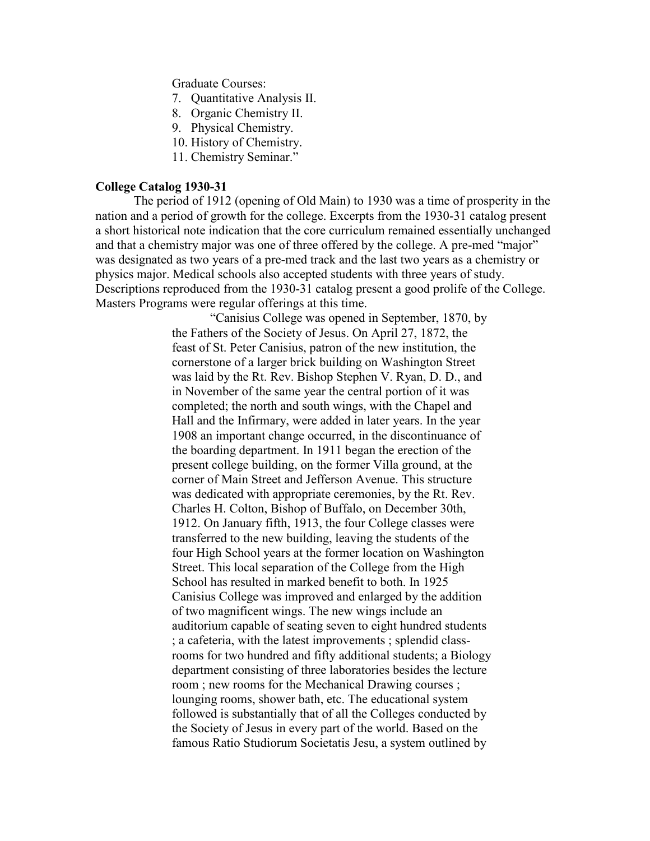Graduate Courses:

- 7. Quantitative Analysis II.
- 8. Organic Chemistry II.
- 9. Physical Chemistry.
- 10. History of Chemistry.
- 11. Chemistry Seminar."

# **College Catalog 1930-31**

The period of 1912 (opening of Old Main) to 1930 was a time of prosperity in the nation and a period of growth for the college. Excerpts from the 1930-31 catalog present a short historical note indication that the core curriculum remained essentially unchanged and that a chemistry major was one of three offered by the college. A pre-med "major" was designated as two years of a pre-med track and the last two years as a chemistry or physics major. Medical schools also accepted students with three years of study. Descriptions reproduced from the 1930-31 catalog present a good prolife of the College. Masters Programs were regular offerings at this time.

> "Canisius College was opened in September, 1870, by the Fathers of the Society of Jesus. On April 27, 1872, the feast of St. Peter Canisius, patron of the new institution, the cornerstone of a larger brick building on Washington Street was laid by the Rt. Rev. Bishop Stephen V. Ryan, D. D., and in November of the same year the central portion of it was completed; the north and south wings, with the Chapel and Hall and the Infirmary, were added in later years. In the year 1908 an important change occurred, in the discontinuance of the boarding department. In 1911 began the erection of the present college building, on the former Villa ground, at the corner of Main Street and Jefferson Avenue. This structure was dedicated with appropriate ceremonies, by the Rt. Rev. Charles H. Colton, Bishop of Buffalo, on December 30th, 1912. On January fifth, 1913, the four College classes were transferred to the new building, leaving the students of the four High School years at the former location on Washington Street. This local separation of the College from the High School has resulted in marked benefit to both. In 1925 Canisius College was improved and enlarged by the addition of two magnificent wings. The new wings include an auditorium capable of seating seven to eight hundred students ; a cafeteria, with the latest improvements ; splendid classrooms for two hundred and fifty additional students; a Biology department consisting of three laboratories besides the lecture room ; new rooms for the Mechanical Drawing courses ; lounging rooms, shower bath, etc. The educational system followed is substantially that of all the Colleges conducted by the Society of Jesus in every part of the world. Based on the famous Ratio Studiorum Societatis Jesu, a system outlined by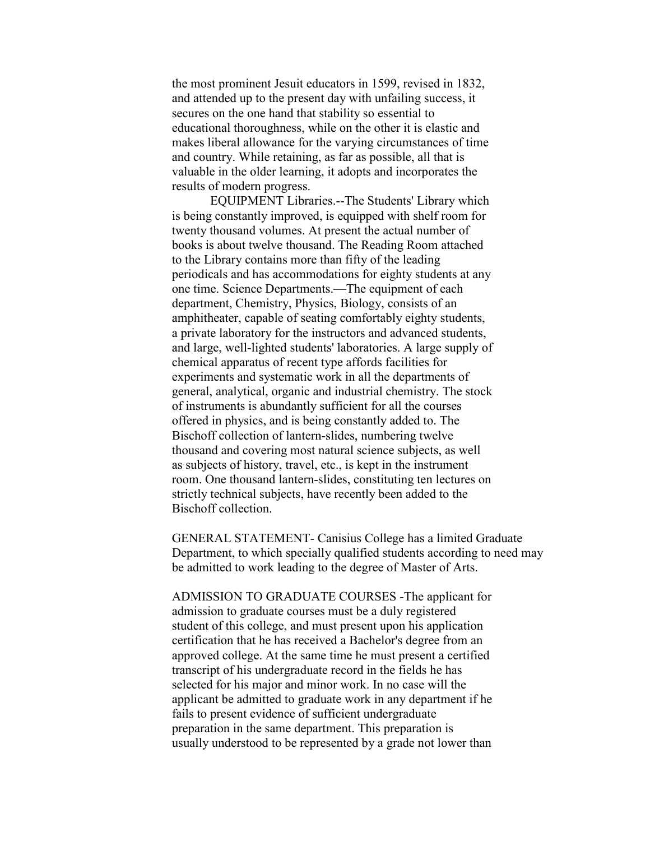the most prominent Jesuit educators in 1599, revised in 1832, and attended up to the present day with unfailing success, it secures on the one hand that stability so essential to educational thoroughness, while on the other it is elastic and makes liberal allowance for the varying circumstances of time and country. While retaining, as far as possible, all that is valuable in the older learning, it adopts and incorporates the results of modern progress.

EQUIPMENT Libraries.--The Students' Library which is being constantly improved, is equipped with shelf room for twenty thousand volumes. At present the actual number of books is about twelve thousand. The Reading Room attached to the Library contains more than fifty of the leading periodicals and has accommodations for eighty students at any one time. Science Departments.—The equipment of each department, Chemistry, Physics, Biology, consists of an amphitheater, capable of seating comfortably eighty students, a private laboratory for the instructors and advanced students, and large, well-lighted students' laboratories. A large supply of chemical apparatus of recent type affords facilities for experiments and systematic work in all the departments of general, analytical, organic and industrial chemistry. The stock of instruments is abundantly sufficient for all the courses offered in physics, and is being constantly added to. The Bischoff collection of lantern-slides, numbering twelve thousand and covering most natural science subjects, as well as subjects of history, travel, etc., is kept in the instrument room. One thousand lantern-slides, constituting ten lectures on strictly technical subjects, have recently been added to the Bischoff collection.

GENERAL STATEMENT- Canisius College has a limited Graduate Department, to which specially qualified students according to need may be admitted to work leading to the degree of Master of Arts.

ADMISSION TO GRADUATE COURSES -The applicant for admission to graduate courses must be a duly registered student of this college, and must present upon his application certification that he has received a Bachelor's degree from an approved college. At the same time he must present a certified transcript of his undergraduate record in the fields he has selected for his major and minor work. In no case will the applicant be admitted to graduate work in any department if he fails to present evidence of sufficient undergraduate preparation in the same department. This preparation is usually understood to be represented by a grade not lower than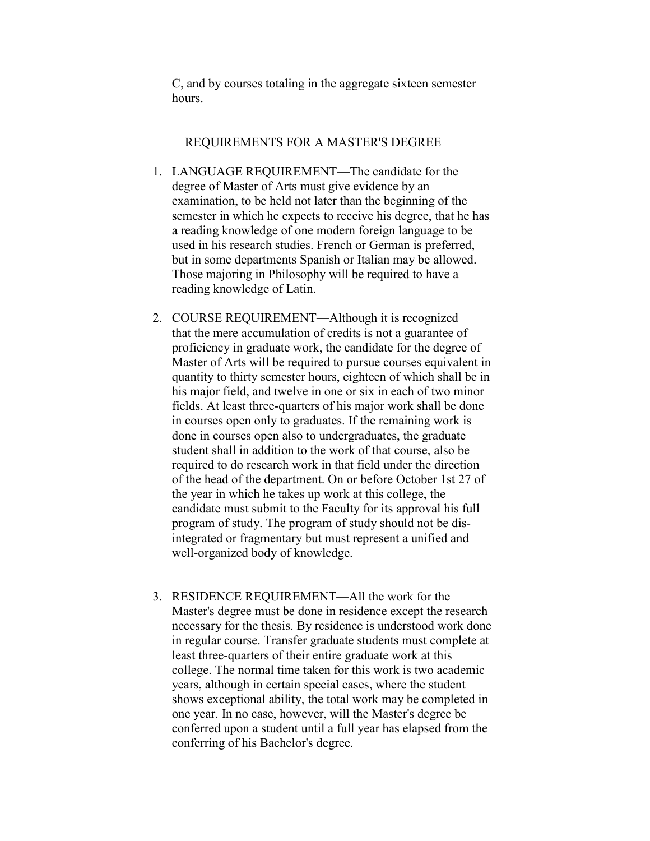C, and by courses totaling in the aggregate sixteen semester hours.

# REQUIREMENTS FOR A MASTER'S DEGREE

- 1. LANGUAGE REQUIREMENT—The candidate for the degree of Master of Arts must give evidence by an examination, to be held not later than the beginning of the semester in which he expects to receive his degree, that he has a reading knowledge of one modern foreign language to be used in his research studies. French or German is preferred, but in some departments Spanish or Italian may be allowed. Those majoring in Philosophy will be required to have a reading knowledge of Latin.
- 2. COURSE REQUIREMENT—Although it is recognized that the mere accumulation of credits is not a guarantee of proficiency in graduate work, the candidate for the degree of Master of Arts will be required to pursue courses equivalent in quantity to thirty semester hours, eighteen of which shall be in his major field, and twelve in one or six in each of two minor fields. At least three-quarters of his major work shall be done in courses open only to graduates. If the remaining work is done in courses open also to undergraduates, the graduate student shall in addition to the work of that course, also be required to do research work in that field under the direction of the head of the department. On or before October 1st 27 of the year in which he takes up work at this college, the candidate must submit to the Faculty for its approval his full program of study. The program of study should not be disintegrated or fragmentary but must represent a unified and well-organized body of knowledge.
- 3. RESIDENCE REQUIREMENT—All the work for the Master's degree must be done in residence except the research necessary for the thesis. By residence is understood work done in regular course. Transfer graduate students must complete at least three-quarters of their entire graduate work at this college. The normal time taken for this work is two academic years, although in certain special cases, where the student shows exceptional ability, the total work may be completed in one year. In no case, however, will the Master's degree be conferred upon a student until a full year has elapsed from the conferring of his Bachelor's degree.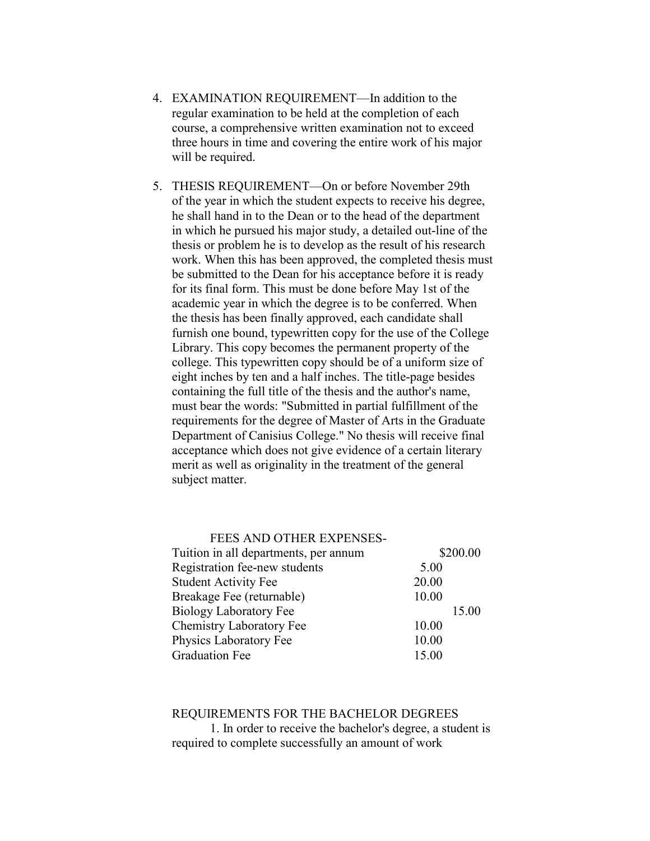- 4. EXAMINATION REQUIREMENT—In addition to the regular examination to be held at the completion of each course, a comprehensive written examination not to exceed three hours in time and covering the entire work of his major will be required.
- 5. THESIS REQUIREMENT—On or before November 29th of the year in which the student expects to receive his degree, he shall hand in to the Dean or to the head of the department in which he pursued his major study, a detailed out-line of the thesis or problem he is to develop as the result of his research work. When this has been approved, the completed thesis must be submitted to the Dean for his acceptance before it is ready for its final form. This must be done before May 1st of the academic year in which the degree is to be conferred. When the thesis has been finally approved, each candidate shall furnish one bound, typewritten copy for the use of the College Library. This copy becomes the permanent property of the college. This typewritten copy should be of a uniform size of eight inches by ten and a half inches. The title-page besides containing the full title of the thesis and the author's name, must bear the words: "Submitted in partial fulfillment of the requirements for the degree of Master of Arts in the Graduate Department of Canisius College." No thesis will receive final acceptance which does not give evidence of a certain literary merit as well as originality in the treatment of the general subject matter.

# FEES AND OTHER EXPENSES-

| Tuition in all departments, per annum | \$200.00 |
|---------------------------------------|----------|
| Registration fee-new students         | 5.00     |
| <b>Student Activity Fee</b>           | 20.00    |
| Breakage Fee (returnable)             | 10.00    |
| <b>Biology Laboratory Fee</b>         | 15.00    |
| <b>Chemistry Laboratory Fee</b>       | 10.00    |
| Physics Laboratory Fee                | 10.00    |
| <b>Graduation Fee</b>                 | 15.00    |

# REQUIREMENTS FOR THE BACHELOR DEGREES

1. In order to receive the bachelor's degree, a student is required to complete successfully an amount of work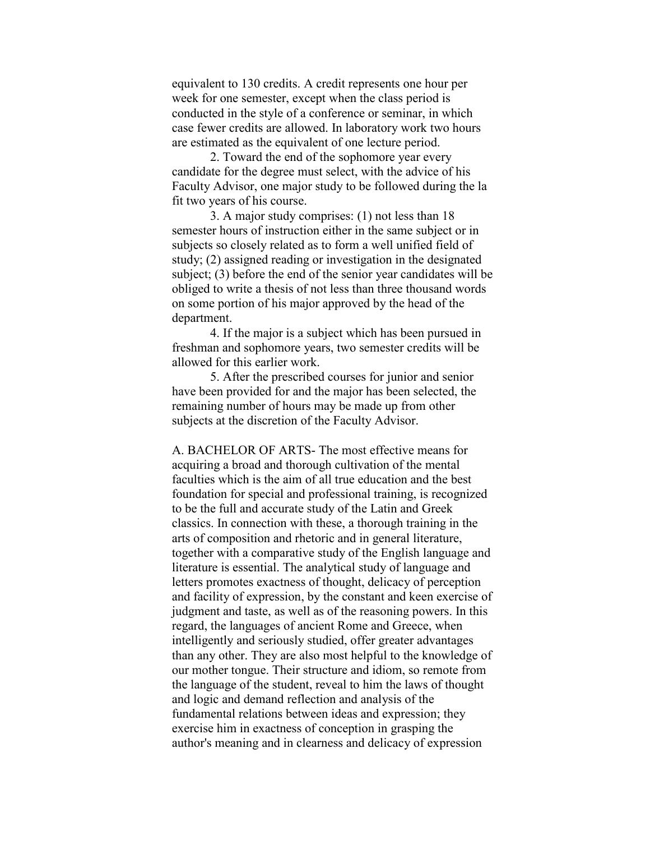equivalent to 130 credits. A credit represents one hour per week for one semester, except when the class period is conducted in the style of a conference or seminar, in which case fewer credits are allowed. In laboratory work two hours are estimated as the equivalent of one lecture period.

2. Toward the end of the sophomore year every candidate for the degree must select, with the advice of his Faculty Advisor, one major study to be followed during the la fit two years of his course.

3. A major study comprises: (1) not less than 18 semester hours of instruction either in the same subject or in subjects so closely related as to form a well unified field of study; (2) assigned reading or investigation in the designated subject; (3) before the end of the senior year candidates will be obliged to write a thesis of not less than three thousand words on some portion of his major approved by the head of the department.

4. If the major is a subject which has been pursued in freshman and sophomore years, two semester credits will be allowed for this earlier work.

5. After the prescribed courses for junior and senior have been provided for and the major has been selected, the remaining number of hours may be made up from other subjects at the discretion of the Faculty Advisor.

A. BACHELOR OF ARTS- The most effective means for acquiring a broad and thorough cultivation of the mental faculties which is the aim of all true education and the best foundation for special and professional training, is recognized to be the full and accurate study of the Latin and Greek classics. In connection with these, a thorough training in the arts of composition and rhetoric and in general literature, together with a comparative study of the English language and literature is essential. The analytical study of language and letters promotes exactness of thought, delicacy of perception and facility of expression, by the constant and keen exercise of judgment and taste, as well as of the reasoning powers. In this regard, the languages of ancient Rome and Greece, when intelligently and seriously studied, offer greater advantages than any other. They are also most helpful to the knowledge of our mother tongue. Their structure and idiom, so remote from the language of the student, reveal to him the laws of thought and logic and demand reflection and analysis of the fundamental relations between ideas and expression; they exercise him in exactness of conception in grasping the author's meaning and in clearness and delicacy of expression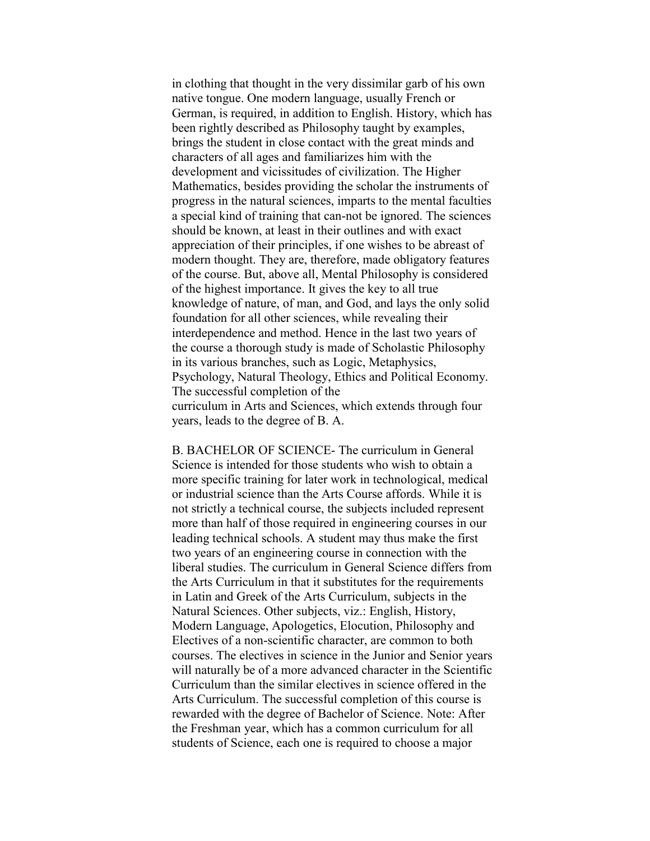in clothing that thought in the very dissimilar garb of his own native tongue. One modern language, usually French or German, is required, in addition to English. History, which has been rightly described as Philosophy taught by examples, brings the student in close contact with the great minds and characters of all ages and familiarizes him with the development and vicissitudes of civilization. The Higher Mathematics, besides providing the scholar the instruments of progress in the natural sciences, imparts to the mental faculties a special kind of training that can-not be ignored. The sciences should be known, at least in their outlines and with exact appreciation of their principles, if one wishes to be abreast of modern thought. They are, therefore, made obligatory features of the course. But, above all, Mental Philosophy is considered of the highest importance. It gives the key to all true knowledge of nature, of man, and God, and lays the only solid foundation for all other sciences, while revealing their interdependence and method. Hence in the last two years of the course a thorough study is made of Scholastic Philosophy in its various branches, such as Logic, Metaphysics, Psychology, Natural Theology, Ethics and Political Economy. The successful completion of the curriculum in Arts and Sciences, which extends through four years, leads to the degree of B. A.

B. BACHELOR OF SCIENCE- The curriculum in General Science is intended for those students who wish to obtain a more specific training for later work in technological, medical or industrial science than the Arts Course affords. While it is not strictly a technical course, the subjects included represent more than half of those required in engineering courses in our leading technical schools. A student may thus make the first two years of an engineering course in connection with the liberal studies. The curriculum in General Science differs from the Arts Curriculum in that it substitutes for the requirements in Latin and Greek of the Arts Curriculum, subjects in the Natural Sciences. Other subjects, viz.: English, History, Modern Language, Apologetics, Elocution, Philosophy and Electives of a non-scientific character, are common to both courses. The electives in science in the Junior and Senior years will naturally be of a more advanced character in the Scientific Curriculum than the similar electives in science offered in the Arts Curriculum. The successful completion of this course is rewarded with the degree of Bachelor of Science. Note: After the Freshman year, which has a common curriculum for all students of Science, each one is required to choose a major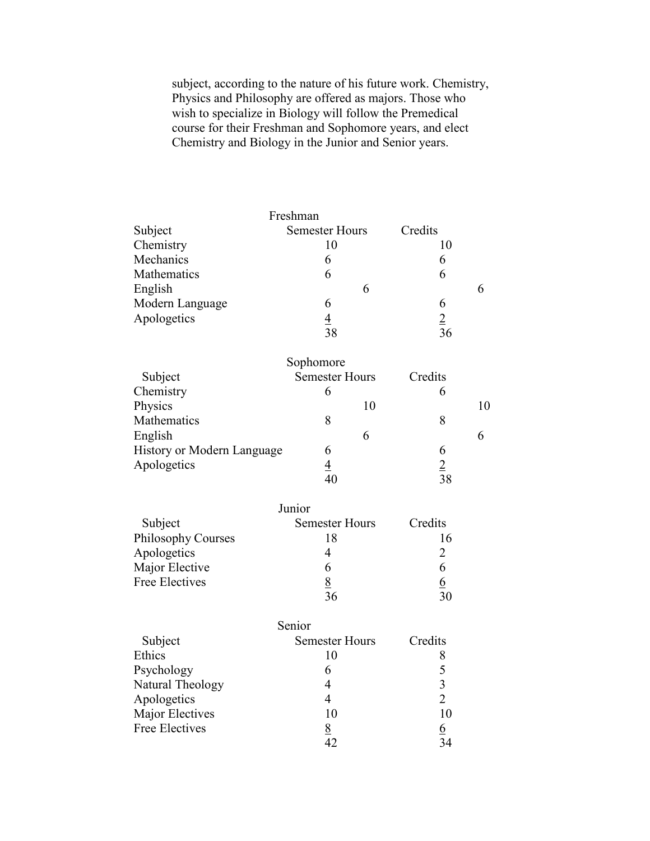subject, according to the nature of his future work. Chemistry, Physics and Philosophy are offered as majors. Those who wish to specialize in Biology will follow the Premedical course for their Freshman and Sophomore years, and elect Chemistry and Biology in the Junior and Senior years.

|                                   | Freshman              |                |    |
|-----------------------------------|-----------------------|----------------|----|
| Subject                           | <b>Semester Hours</b> | Credits        |    |
| Chemistry                         | 10                    | 10             |    |
| Mechanics                         | 6                     | 6              |    |
| Mathematics                       | 6                     | 6              |    |
| English                           | 6                     |                | 6  |
| Modern Language                   | 6                     | 6              |    |
| Apologetics                       | $\frac{4}{38}$        | $\frac{2}{36}$ |    |
|                                   |                       |                |    |
|                                   | Sophomore             |                |    |
| Subject                           | <b>Semester Hours</b> | Credits        |    |
| Chemistry                         | 6                     | 6              |    |
| Physics                           | 10                    |                | 10 |
| Mathematics                       | 8                     | 8              |    |
| English                           | 6                     |                | 6  |
| <b>History or Modern Language</b> | 6                     | 6              |    |
| Apologetics                       | $\frac{4}{40}$        | $\frac{2}{38}$ |    |
|                                   |                       |                |    |
|                                   | Junior                |                |    |
| Subject                           | <b>Semester Hours</b> | Credits        |    |
| <b>Philosophy Courses</b>         | 18                    | 16             |    |
| Apologetics                       | $\overline{4}$        | 2              |    |
| Major Elective                    | 6                     | 6              |    |
| <b>Free Electives</b>             | $\frac{8}{36}$        | <u>6</u>       |    |
|                                   |                       | 30             |    |

|                  | Senior                |          |
|------------------|-----------------------|----------|
| Subject          | <b>Semester Hours</b> | Credits  |
| Ethics           | 10                    |          |
| Psychology       | 6                     |          |
| Natural Theology |                       | 3        |
| Apologetics      |                       | 2        |
| Major Electives  | 10                    | 10       |
| Free Electives   | <u>8</u>              | <u>6</u> |
|                  |                       | 34       |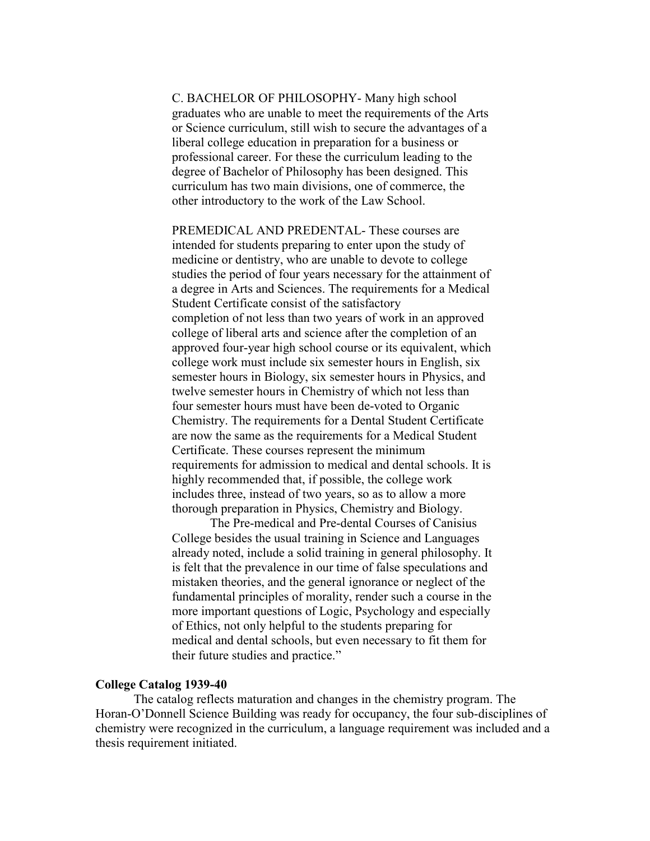C. BACHELOR OF PHILOSOPHY- Many high school graduates who are unable to meet the requirements of the Arts or Science curriculum, still wish to secure the advantages of a liberal college education in preparation for a business or professional career. For these the curriculum leading to the degree of Bachelor of Philosophy has been designed. This curriculum has two main divisions, one of commerce, the other introductory to the work of the Law School.

PREMEDICAL AND PREDENTAL- These courses are intended for students preparing to enter upon the study of medicine or dentistry, who are unable to devote to college studies the period of four years necessary for the attainment of a degree in Arts and Sciences. The requirements for a Medical Student Certificate consist of the satisfactory completion of not less than two years of work in an approved college of liberal arts and science after the completion of an approved four-year high school course or its equivalent, which college work must include six semester hours in English, six semester hours in Biology, six semester hours in Physics, and twelve semester hours in Chemistry of which not less than four semester hours must have been de-voted to Organic Chemistry. The requirements for a Dental Student Certificate are now the same as the requirements for a Medical Student Certificate. These courses represent the minimum requirements for admission to medical and dental schools. It is highly recommended that, if possible, the college work includes three, instead of two years, so as to allow a more thorough preparation in Physics, Chemistry and Biology.

The Pre-medical and Pre-dental Courses of Canisius College besides the usual training in Science and Languages already noted, include a solid training in general philosophy. It is felt that the prevalence in our time of false speculations and mistaken theories, and the general ignorance or neglect of the fundamental principles of morality, render such a course in the more important questions of Logic, Psychology and especially of Ethics, not only helpful to the students preparing for medical and dental schools, but even necessary to fit them for their future studies and practice."

# **College Catalog 1939-40**

The catalog reflects maturation and changes in the chemistry program. The Horan-O'Donnell Science Building was ready for occupancy, the four sub-disciplines of chemistry were recognized in the curriculum, a language requirement was included and a thesis requirement initiated.